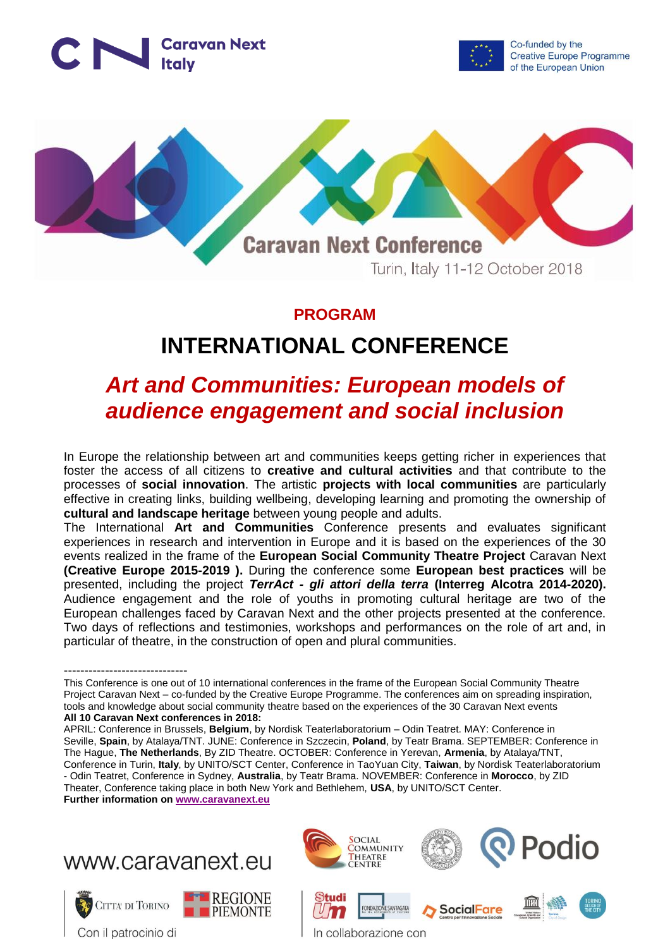



Co-funded by the **Creative Europe Programme** of the European Union



#### **PROGRAM**

# **INTERNATIONAL CONFERENCE**

## *Art and Communities: European models of audience engagement and social inclusion*

In Europe the relationship between art and communities keeps getting richer in experiences that foster the access of all citizens to **creative and cultural activities** and that contribute to the processes of **social innovation**. The artistic **projects with local communities** are particularly effective in creating links, building wellbeing, developing learning and promoting the ownership of **cultural and landscape heritage** between young people and adults.

The International **Art and Communities** Conference presents and evaluates significant experiences in research and intervention in Europe and it is based on the experiences of the 30 events realized in the frame of the **European Social Community Theatre Project** Caravan Next **(Creative Europe 2015-2019 ).** During the conference some **European best practices** will be presented, including the project *TerrAct - gli attori della terra* **(Interreg Alcotra 2014-2020).**  Audience engagement and the role of youths in promoting cultural heritage are two of the European challenges faced by Caravan Next and the other projects presented at the conference. Two days of reflections and testimonies, workshops and performances on the role of art and, in particular of theatre, in the construction of open and plural communities.

APRIL: Conference in Brussels, **Belgium**, by Nordisk Teaterlaboratorium – Odin Teatret. MAY: Conference in Seville, **Spain**, by Atalaya/TNT. JUNE: Conference in Szczecin, **Poland**, by Teatr Brama. SEPTEMBER: Conference in The Hague, **The Netherlands**, By ZID Theatre. OCTOBER: Conference in Yerevan, **Armenia**, by Atalaya/TNT, Conference in Turin, **Italy**, by UNITO/SCT Center, Conference in TaoYuan City, **Taiwan**, by Nordisk Teaterlaboratorium - Odin Teatret, Conference in Sydney, **Australia**, by Teatr Brama. NOVEMBER: Conference in **Morocco**, by ZID Theater, Conference taking place in both New York and Bethlehem, **USA**, by UNITO/SCT Center. **Further information on [www.caravanext.eu](http://www.caravanext.eu/)**



Con il patrocinio di



<sup>------------------------------</sup> This Conference is one out of 10 international conferences in the frame of the European Social Community Theatre Project Caravan Next – co-funded by the Creative Europe Programme. The conferences aim on spreading inspiration, tools and knowledge about social community theatre based on the experiences of the 30 Caravan Next events **All 10 Caravan Next conferences in 2018:**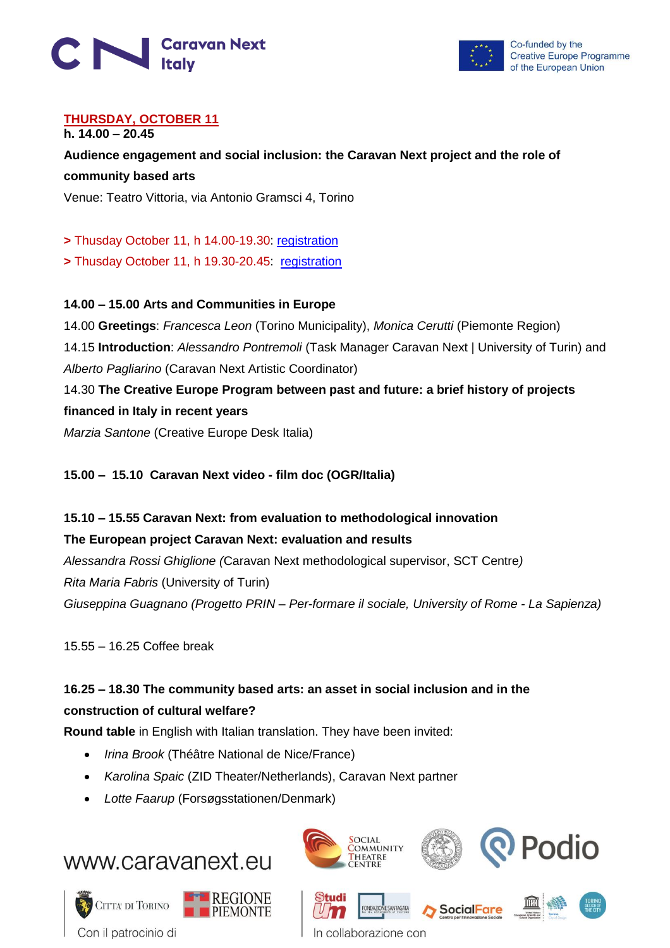



#### **THURSDAY, OCTOBER 11 h. 14.00 – 20.45**

**Audience engagement and social inclusion: the Caravan Next project and the role of community based arts**

Venue: Teatro Vittoria, via Antonio Gramsci 4, Torino

**>** Thusday October 11, h 14.00-19.30: [registration](https://artecomunita1.eventbrite.it/)

**> Thusday October 11, h 19.30-20.45: [registration](https://performance-artecomunita.eventbrite.it/)** 

#### **14.00 – 15.00 Arts and Communities in Europe**

14.00 **Greetings**: *Francesca Leon* (Torino Municipality), *Monica Cerutti* (Piemonte Region) 14.15 **Introduction**: *Alessandro Pontremoli* (Task Manager Caravan Next | University of Turin) and *Alberto Pagliarino* (Caravan Next Artistic Coordinator) 14.30 **The Creative Europe Program between past and future: a brief history of projects financed in Italy in recent years** *Marzia Santone* (Creative Europe Desk Italia)

**15.00 – 15.10 Caravan Next video - film doc (OGR/Italia)**

### **15.10 – 15.55 Caravan Next: from evaluation to methodological innovation**

#### **The European project Caravan Next: evaluation and results**

*Alessandra Rossi Ghiglione (*Caravan Next methodological supervisor, SCT Centre*) Rita Maria Fabris* (University of Turin) *Giuseppina Guagnano (Progetto PRIN – Per-formare il sociale, University of Rome - La Sapienza)*

15.55 – 16.25 Coffee break

#### **16.25 – 18.30 The community based arts: an asset in social inclusion and in the construction of cultural welfare?**

**Round table** in English with Italian translation. They have been invited:

- *Irina Brook* (Théâtre National de Nice/France)
- *Karolina Spaic* (ZID Theater/Netherlands), Caravan Next partner
- *Lotte Faarup* (Forsøgsstationen/Denmark)







**SocialFare** 



In collaborazione con

SANTAGAT/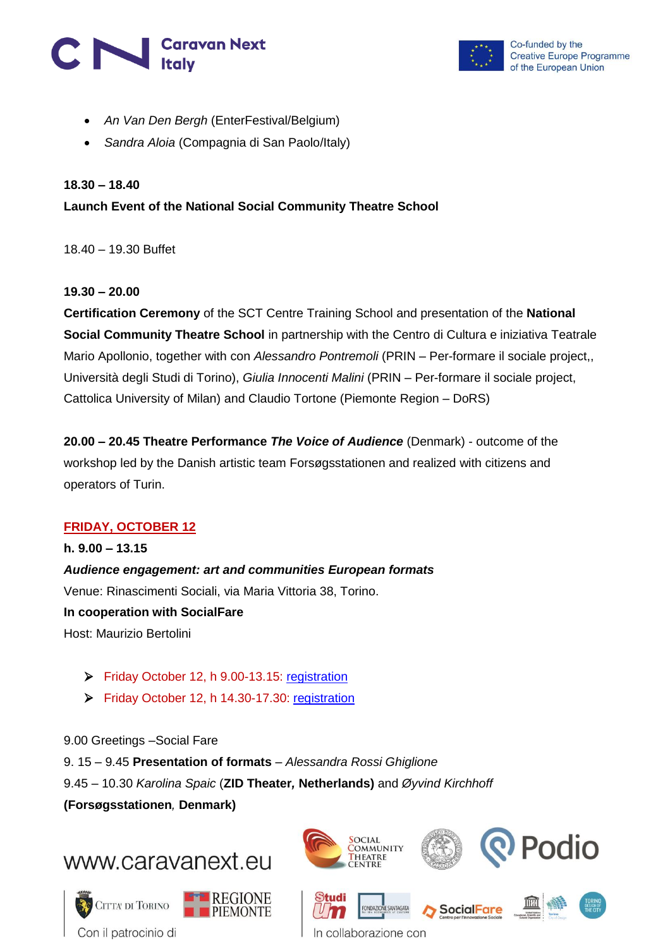# **Caravan Next**<br>Italy



Co-funded by the **Creative Europe Programme** of the European Union

- *An Van Den Bergh* (EnterFestival/Belgium)
- *Sandra Aloia* (Compagnia di San Paolo/Italy)

#### **18.30 – 18.40**

#### **Launch Event of the National Social Community Theatre School**

18.40 – 19.30 Buffet

#### **19.30 – 20.00**

**Certification Ceremony** of the SCT Centre Training School and presentation of the **National Social Community Theatre School** in partnership with the Centro di Cultura e iniziativa Teatrale Mario Apollonio, together with con *Alessandro Pontremoli* (PRIN – Per-formare il sociale project,, Università degli Studi di Torino), *Giulia Innocenti Malini* (PRIN – Per-formare il sociale project, Cattolica University of Milan) and Claudio Tortone (Piemonte Region – DoRS)

**20.00 – 20.45 Theatre Performance** *The Voice of Audience* (Denmark) - outcome of the workshop led by the Danish artistic team Forsøgsstationen and realized with citizens and operators of Turin.

#### **FRIDAY, OCTOBER 12**

## **h. 9.00 – 13.15** *Audience engagement: art and communities European formats*  Venue: Rinascimenti Sociali, via Maria Vittoria 38, Torino.

**In cooperation with SocialFare** Host: Maurizio Bertolini

Friday October 12, h 9.00-13.15: [registration](https://artecomunita2.eventbrite.it/)

Friday October 12, h 14.30-17.30: [registration](https://artecomunita3.eventbrite.it/)

9.00 Greetings –Social Fare 9. 15 – 9.45 **Presentation of formats** – *Alessandra Rossi Ghiglione* 9.45 – 10.30 *Karolina Spaic* (**ZID Theater***,* **Netherlands)** and *Øyvind Kirchhoff* **(Forsøgsstationen***,* **Denmark)**

## www.caravanext.eu









In collaborazione con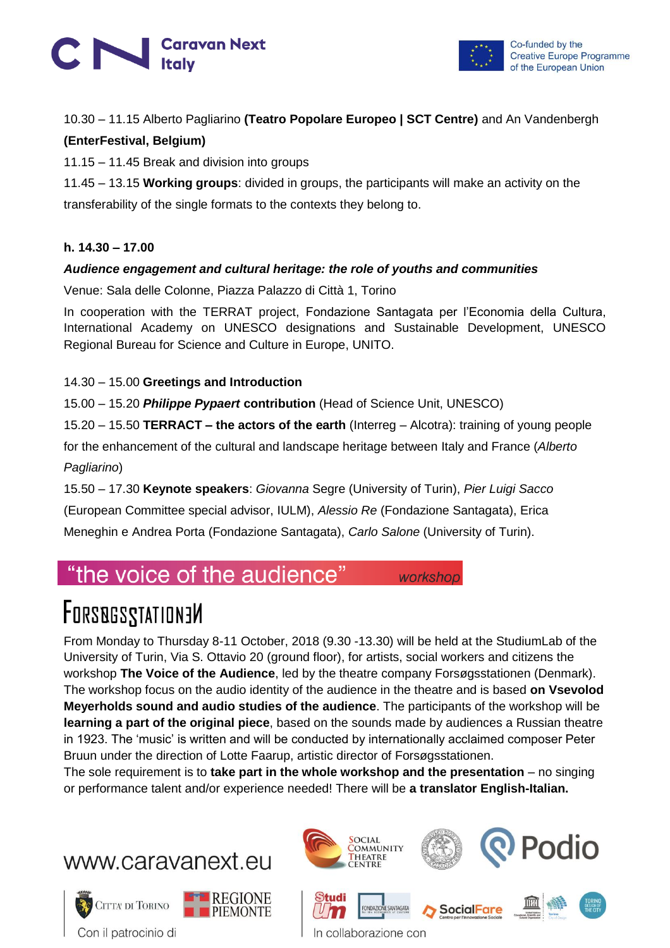



#### 10.30 – 11.15 Alberto Pagliarino **(Teatro Popolare Europeo | SCT Centre)** and An Vandenbergh

#### **(EnterFestival, Belgium)**

11.15 – 11.45 Break and division into groups

11.45 – 13.15 **Working groups**: divided in groups, the participants will make an activity on the transferability of the single formats to the contexts they belong to.

#### **h. 14.30 – 17.00**

#### *Audience engagement and cultural heritage: the role of youths and communities*

Venue: Sala delle Colonne, Piazza Palazzo di Città 1, Torino

In cooperation with the TERRAT project, Fondazione Santagata per l'Economia della Cultura, International Academy on UNESCO designations and Sustainable Development, UNESCO Regional Bureau for Science and Culture in Europe, UNITO.

#### 14.30 – 15.00 **Greetings and Introduction**

15.00 – 15.20 *Philippe Pypaert* **contribution** (Head of Science Unit, UNESCO)

15.20 – 15.50 **TERRACT – the actors of the earth** (Interreg – Alcotra): training of young people for the enhancement of the cultural and landscape heritage between Italy and France (*Alberto Pagliarino*)

15.50 – 17.30 **Keynote speakers**: *Giovanna* Segre (University of Turin), *Pier Luigi Sacco*  (European Committee special advisor, IULM), *Alessio Re* (Fondazione Santagata), Erica Meneghin e Andrea Porta (Fondazione Santagata), *Carlo Salone* (University of Turin).

## "the voice of the audience"

# **FORSBGSSTATION3M**

From Monday to Thursday 8-11 October, 2018 (9.30 -13.30) will be held at the StudiumLab of the University of Turin, Via S. Ottavio 20 (ground floor), for artists, social workers and citizens the workshop **The Voice of the Audience**, led by the theatre company Forsøgsstationen (Denmark). The workshop focus on the audio identity of the audience in the theatre and is based **on Vsevolod Meyerholds sound and audio studies of the audience**. The participants of the workshop will be **learning a part of the original piece**, based on the sounds made by audiences a Russian theatre in 1923. The 'music' is written and will be conducted by internationally acclaimed composer Peter Bruun under the direction of Lotte Faarup, artistic director of Forsøgsstationen.

The sole requirement is to **take part in the whole workshop and the presentation** – no singing or performance talent and/or experience needed! There will be **a translator English-Italian.**







workshop